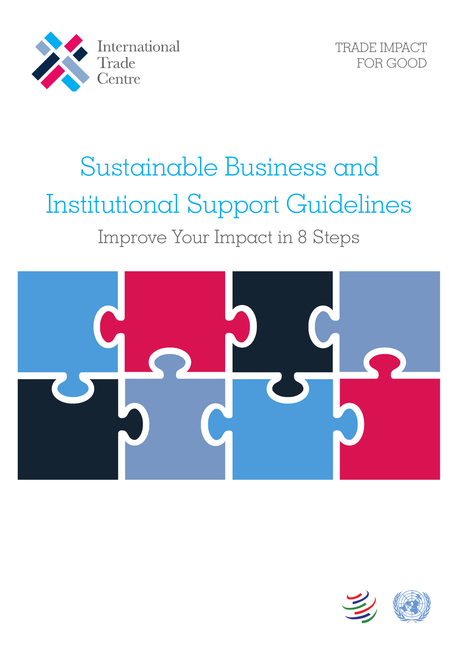



# Sustainable Business and Institutional Support Guidelines Improve Your Impact in 8 Steps



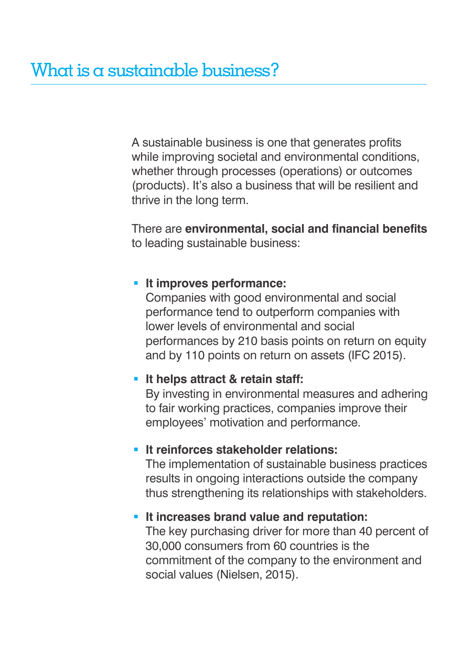A sustainable business is one that generates profits while improving societal and environmental conditions, whether through processes (operations) or outcomes (products). It's also a business that will be resilient and thrive in the long term.

There are **environmental, social and financial benefits** to leading sustainable business:

#### **It improves performance:**

Companies with good environmental and social performance tend to outperform companies with lower levels of environmental and social performances by 210 basis points on return on equity and by 110 points on return on assets (IFC 2015).

#### **It helps attract & retain staff:**

By investing in environmental measures and adhering to fair working practices, companies improve their employees' motivation and performance.

#### **It reinforces stakeholder relations:**

The implementation of sustainable business practices results in ongoing interactions outside the company thus strengthening its relationships with stakeholders.

#### **It increases brand value and reputation:**

The key purchasing driver for more than 40 percent of 30,000 consumers from 60 countries is the commitment of the company to the environment and social values (Nielsen, 2015).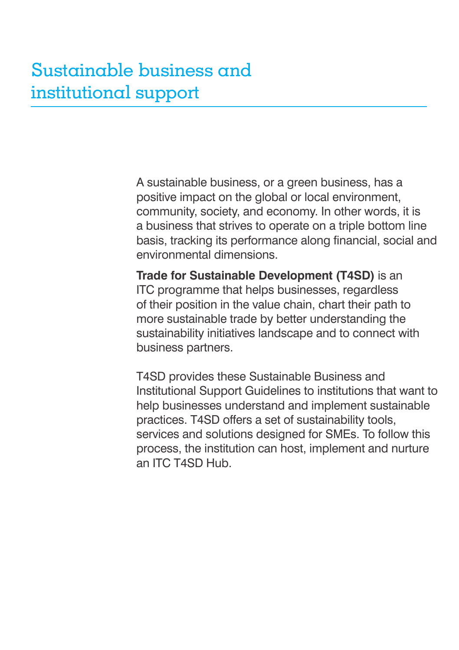A sustainable business, or a green business, has a positive impact on the global or local environment, community, society, and economy. In other words, it is a business that strives to operate on a triple bottom line basis, tracking its performance along financial, social and environmental dimensions.

**Trade for Sustainable Development (T4SD)** is an ITC programme that helps businesses, regardless of their position in the value chain, chart their path to more sustainable trade by better understanding the sustainability initiatives landscape and to connect with business partners.

T4SD provides these Sustainable Business and Institutional Support Guidelines to institutions that want to help businesses understand and implement sustainable practices. T4SD offers a set of sustainability tools, services and solutions designed for SMEs. To follow this process, the institution can host, implement and nurture an ITC T4SD Hub.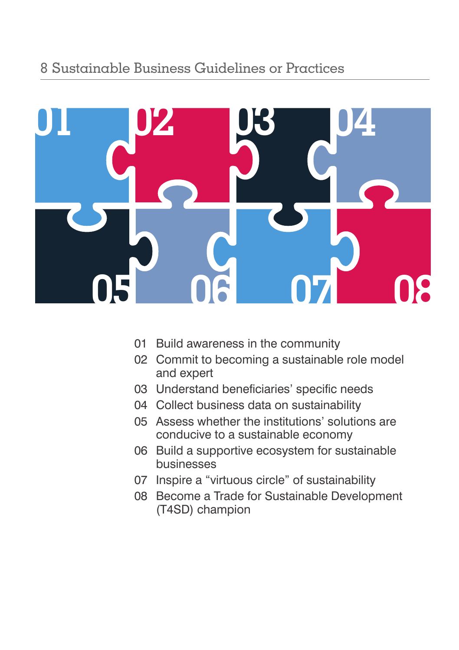

- Build awareness in the community
- Commit to becoming a sustainable role model and expert
- Understand beneficiaries' specific needs
- Collect business data on sustainability
- Assess whether the institutions' solutions are conducive to a sustainable economy
- Build a supportive ecosystem for sustainable businesses
- Inspire a "virtuous circle" of sustainability
- Become a Trade for Sustainable Development (T4SD) champion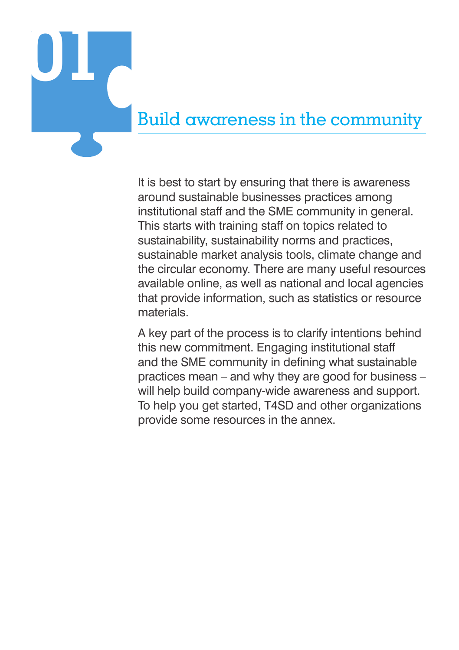

It is best to start by ensuring that there is awareness around sustainable businesses practices among institutional staff and the SME community in general. This starts with training staff on topics related to sustainability, sustainability norms and practices, sustainable market analysis tools, climate change and the circular economy. There are many useful resources available online, as well as national and local agencies that provide information, such as statistics or resource materials.

A key part of the process is to clarify intentions behind this new commitment. Engaging institutional staff and the SME community in defining what sustainable practices mean – and why they are good for business – will help build company-wide awareness and support. To help you get started, T4SD and other organizations provide some resources in the annex.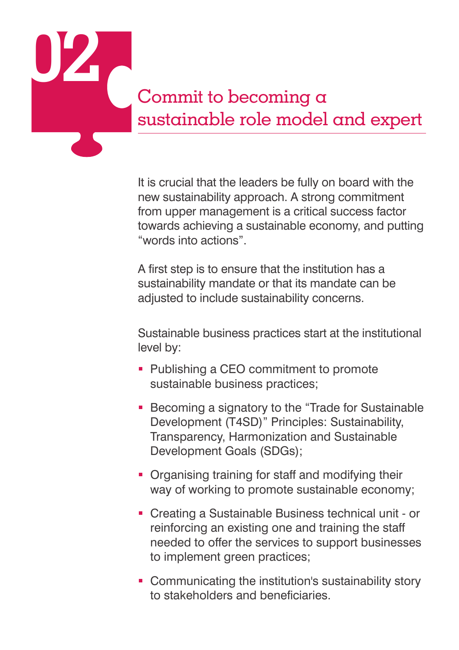

It is crucial that the leaders be fully on board with the new sustainability approach. A strong commitment from upper management is a critical success factor towards achieving a sustainable economy, and putting "words into actions".

A first step is to ensure that the institution has a sustainability mandate or that its mandate can be adjusted to include sustainability concerns.

Sustainable business practices start at the institutional level by:

- Publishing a CEO commitment to promote sustainable business practices;
- **Becoming a signatory to the "Trade for Sustainable"** Development (T4SD)" Principles: Sustainability, Transparency, Harmonization and Sustainable Development Goals (SDGs);
- Organising training for staff and modifying their way of working to promote sustainable economy;
- Creating a Sustainable Business technical unit or reinforcing an existing one and training the staff needed to offer the services to support businesses to implement green practices;
- **Communicating the institution's sustainability story** to stakeholders and beneficiaries.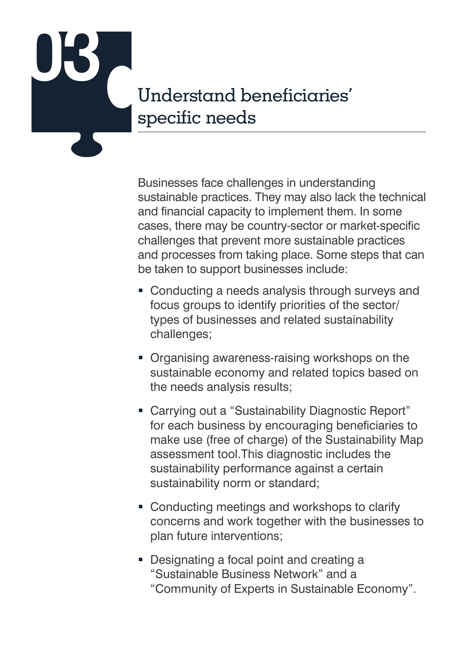

Businesses face challenges in understanding sustainable practices. They may also lack the technical and financial capacity to implement them. In some cases, there may be country-sector or market-specific challenges that prevent more sustainable practices and processes from taking place. Some steps that can be taken to support businesses include:

- Conducting a needs analysis through surveys and focus groups to identify priorities of the sector/ types of businesses and related sustainability challenges;
- **Organising awareness-raising workshops on the** sustainable economy and related topics based on the needs analysis results;
- Carrying out a "Sustainability Diagnostic Report" for each business by encouraging beneficiaries to make use (free of charge) of the Sustainability Map assessment tool.This diagnostic includes the sustainability performance against a certain sustainability norm or standard;
- Conducting meetings and workshops to clarify concerns and work together with the businesses to plan future interventions;
- Designating a focal point and creating a "Sustainable Business Network" and a "Community of Experts in Sustainable Economy".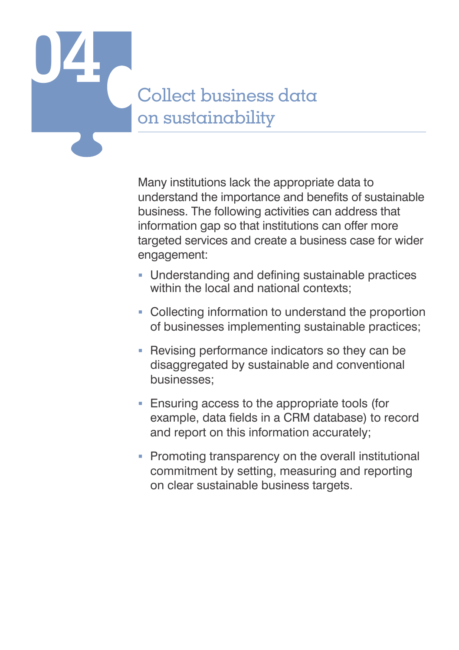

Many institutions lack the appropriate data to understand the importance and benefits of sustainable business. The following activities can address that information gap so that institutions can offer more targeted services and create a business case for wider engagement:

- Understanding and defining sustainable practices within the local and national contexts;
- Collecting information to understand the proportion of businesses implementing sustainable practices;
- Revising performance indicators so they can be disaggregated by sustainable and conventional businesses;
- Ensuring access to the appropriate tools (for example, data fields in a CRM database) to record and report on this information accurately;
- Promoting transparency on the overall institutional commitment by setting, measuring and reporting on clear sustainable business targets.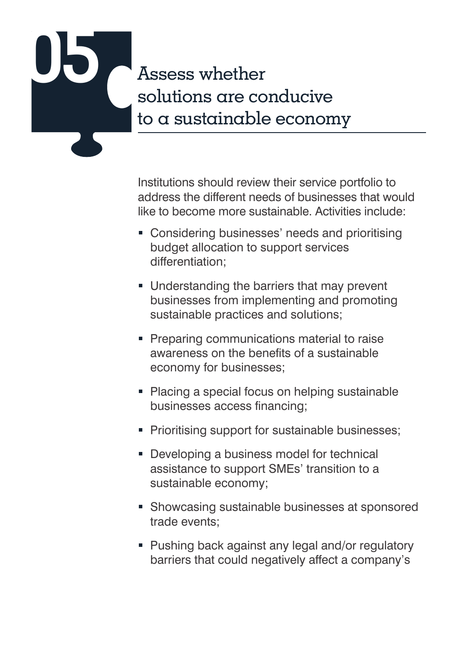# **05** Assess whether solutions are conducive to a sustainable economy

Institutions should review their service portfolio to address the different needs of businesses that would like to become more sustainable. Activities include:

- **Considering businesses' needs and prioritising** budget allocation to support services differentiation;
- **Understanding the barriers that may prevent** businesses from implementing and promoting sustainable practices and solutions;
- **Preparing communications material to raise** awareness on the benefits of a sustainable economy for businesses;
- Placing a special focus on helping sustainable businesses access financing;
- **Prioritising support for sustainable businesses;**
- **Developing a business model for technical** assistance to support SMEs' transition to a sustainable economy;
- **Showcasing sustainable businesses at sponsored** trade events;
- Pushing back against any legal and/or regulatory barriers that could negatively affect a company's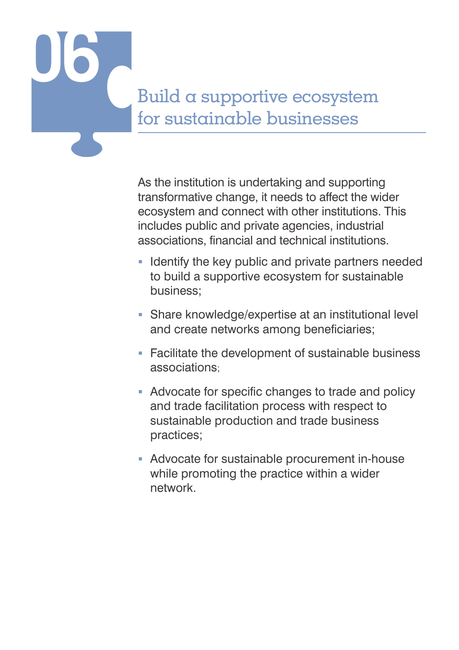

As the institution is undertaking and supporting transformative change, it needs to affect the wider ecosystem and connect with other institutions. This includes public and private agencies, industrial associations, financial and technical institutions.

- **I** Identify the key public and private partners needed to build a supportive ecosystem for sustainable business;
- Share knowledge/expertise at an institutional level and create networks among beneficiaries;
- **Facilitate the development of sustainable business** associations;
- Advocate for specific changes to trade and policy and trade facilitation process with respect to sustainable production and trade business practices;
- Advocate for sustainable procurement in-house while promoting the practice within a wider network.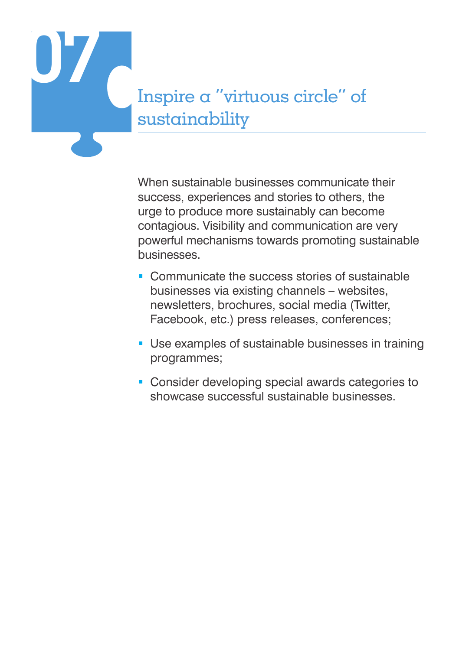

When sustainable businesses communicate their success, experiences and stories to others, the urge to produce more sustainably can become contagious. Visibility and communication are very powerful mechanisms towards promoting sustainable businesses.

- **Communicate the success stories of sustainable** businesses via existing channels – websites, newsletters, brochures, social media (Twitter, Facebook, etc.) press releases, conferences;
- **Use examples of sustainable businesses in training** programmes;
- Consider developing special awards categories to showcase successful sustainable businesses.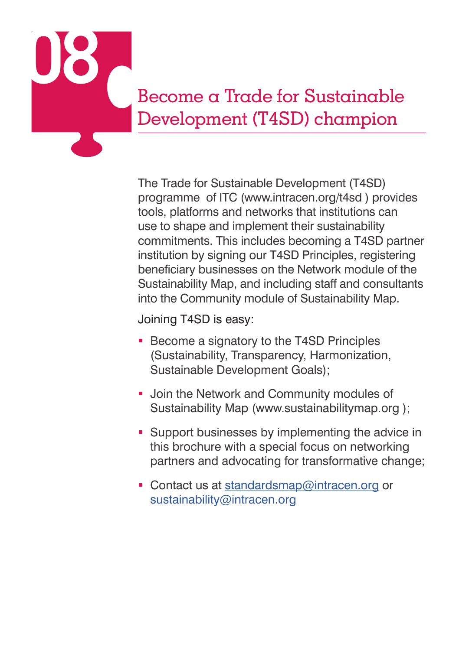

The Trade for Sustainable Development (T4SD) programme of ITC (www.intracen.org/t4sd ) provides tools, platforms and networks that institutions can use to shape and implement their sustainability commitments. This includes becoming a T4SD partner institution by signing our T4SD Principles, registering beneficiary businesses on the Network module of the Sustainability Map, and including staff and consultants into the Community module of Sustainability Map.

Joining T4SD is easy:

- **Become a signatory to the T4SD Principles** (Sustainability, Transparency, Harmonization, Sustainable Development Goals);
- **Join the Network and Community modules of** Sustainability Map (www.sustainabilitymap.org );
- **Support businesses by implementing the advice in** this brochure with a special focus on networking partners and advocating for transformative change;
- Contact us at standardsmap@intracen.org or sustainability@intracen.org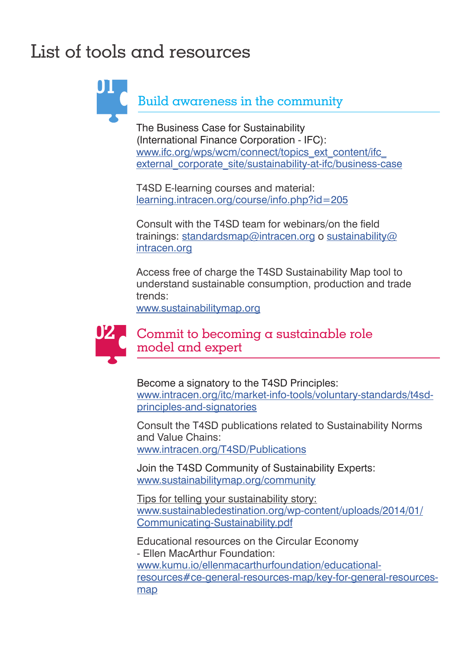## List of tools and resources

Build awareness in the community **01**

> The Business Case for Sustainability (International Finance Corporation - IFC): www.ifc.org/wps/wcm/connect/topics\_ext\_content/ifc\_ external corporate site/sustainability-at-ifc/business-case

T4SD E-learning courses and material: learning.intracen.org/course/info.php?id=205

Consult with the T4SD team for webinars/on the field trainings: standardsmap@intracen.org o sustainability@ intracen.org

Access free of charge the T4SD Sustainability Map tool to understand sustainable consumption, production and trade trends:

www.sustainabilitymap.org



#### Commit to becoming a sustainable role model and expert

Become a signatory to the T4SD Principles: www.intracen.org/itc/market-info-tools/voluntary-standards/t4sdprinciples-and-signatories

Consult the T4SD publications related to Sustainability Norms and Value Chains: www.intracen.org/T4SD/Publications

Join the T4SD Community of Sustainability Experts: www.sustainabilitymap.org/community

Tips for telling your sustainability story: www.sustainabledestination.org/wp-content/uploads/2014/01/ Communicating-Sustainability.pdf

Educational resources on the Circular Economy - Ellen MacArthur Foundation: www.kumu.io/ellenmacarthurfoundation/educationalresources#ce-general-resources-map/key-for-general-resourcesmap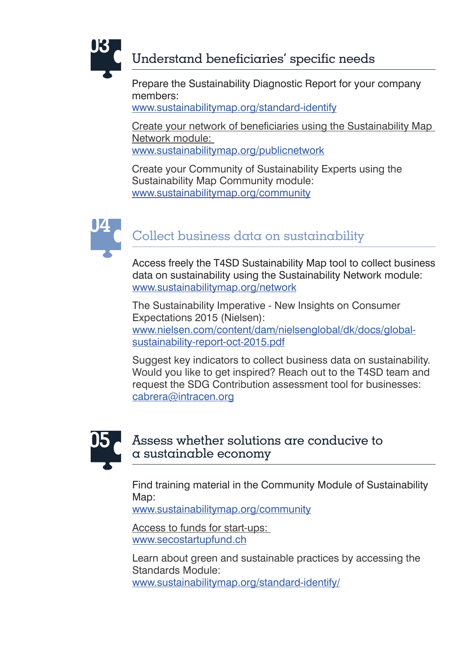

#### Understand beneficiaries' specific needs

Prepare the Sustainability Diagnostic Report for your company members:

www.sustainabilitymap.org/standard-identify

Create your network of beneficiaries using the Sustainability Map Network module: www.sustainabilitymap.org/publicnetwork

Create your Community of Sustainability Experts using the Sustainability Map Community module: www.sustainabilitymap.org/community



### Collect business data on sustainability **04**

Access freely the T4SD Sustainability Map tool to collect business data on sustainability using the Sustainability Network module: www.sustainabilitymap.org/network

The Sustainability Imperative - New Insights on Consumer Expectations 2015 (Nielsen): www.nielsen.com/content/dam/nielsenglobal/dk/docs/globalsustainability-report-oct-2015.pdf

Suggest key indicators to collect business data on sustainability. Would you like to get inspired? Reach out to the T4SD team and request the SDG Contribution assessment tool for businesses: cabrera@intracen.org



#### Assess whether solutions are conducive to a sustainable economy

Find training material in the Community Module of Sustainability Map:

www.sustainabilitymap.org/community

Access to funds for start-ups: www.secostartupfund.ch

Learn about green and sustainable practices by accessing the Standards Module: www.sustainabilitymap.org/standard-identify/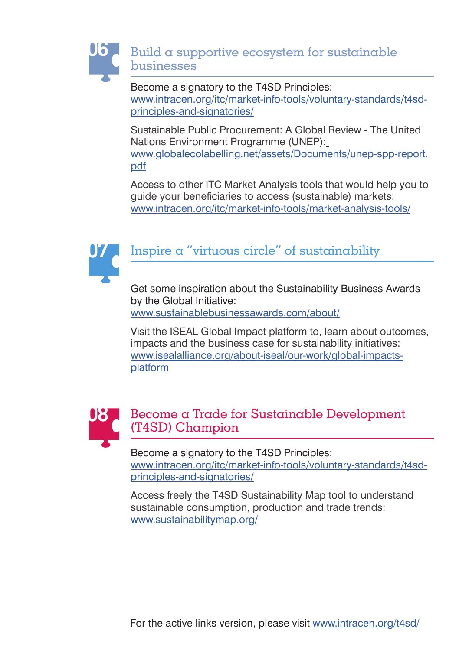

Become a signatory to the T4SD Principles: www.intracen.org/itc/market-info-tools/voluntary-standards/t4sdprinciples-and-signatories/

Sustainable Public Procurement: A Global Review - The United Nations Environment Programme (UNEP): www.globalecolabelling.net/assets/Documents/unep-spp-report. pdf

Access to other ITC Market Analysis tools that would help you to guide your beneficiaries to access (sustainable) markets: www.intracen.org/itc/market-info-tools/market-analysis-tools/



### Inspire a "virtuous circle" of sustainability

Get some inspiration about the Sustainability Business Awards by the Global Initiative: www.sustainablebusinessawards.com/about/

Visit the ISEAL Global Impact platform to, learn about outcomes, impacts and the business case for sustainability initiatives: www.isealalliance.org/about-iseal/our-work/global-impactsplatform



#### Become a Trade for Sustainable Development (T4SD) Champion

Become a signatory to the T4SD Principles: www.intracen.org/itc/market-info-tools/voluntary-standards/t4sdprinciples-and-signatories/

Access freely the T4SD Sustainability Map tool to understand sustainable consumption, production and trade trends: www.sustainabilitymap.org/